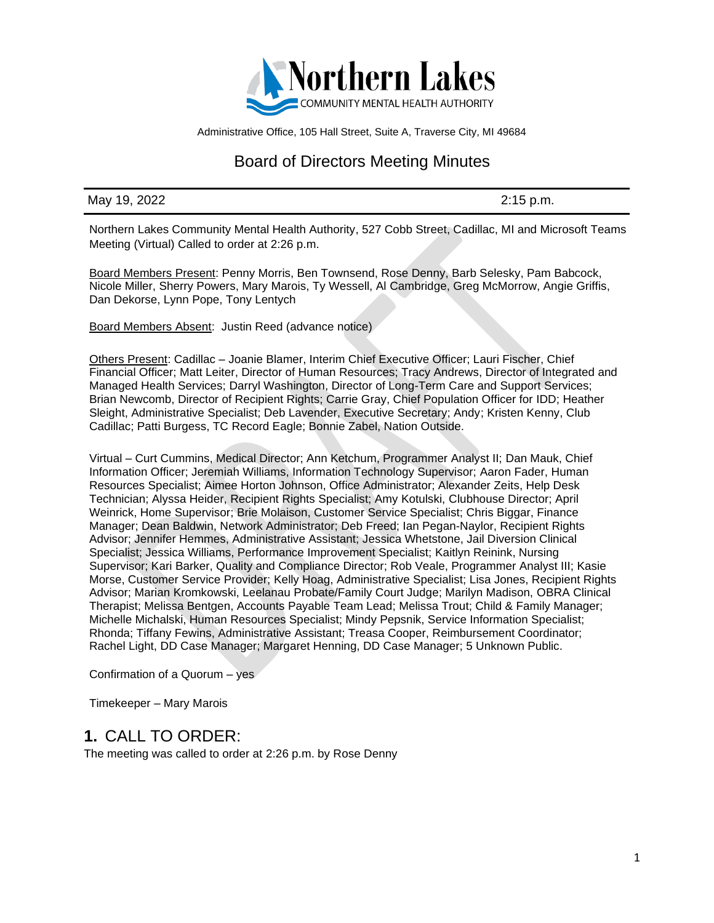

Administrative Office, 105 Hall Street, Suite A, Traverse City, MI 49684

# Board of Directors Meeting Minutes

#### May 19, 2022 2:15 p.m.

Northern Lakes Community Mental Health Authority, 527 Cobb Street, Cadillac, MI and Microsoft Teams Meeting (Virtual) Called to order at 2:26 p.m.

Board Members Present: Penny Morris, Ben Townsend, Rose Denny, Barb Selesky, Pam Babcock, Nicole Miller, Sherry Powers, Mary Marois, Ty Wessell, Al Cambridge, Greg McMorrow, Angie Griffis, Dan Dekorse, Lynn Pope, Tony Lentych

Board Members Absent: Justin Reed (advance notice)

Others Present: Cadillac – Joanie Blamer, Interim Chief Executive Officer; Lauri Fischer, Chief Financial Officer; Matt Leiter, Director of Human Resources; Tracy Andrews, Director of Integrated and Managed Health Services; Darryl Washington, Director of Long-Term Care and Support Services; Brian Newcomb, Director of Recipient Rights; Carrie Gray, Chief Population Officer for IDD; Heather Sleight, Administrative Specialist; Deb Lavender, Executive Secretary; Andy; Kristen Kenny, Club Cadillac; Patti Burgess, TC Record Eagle; Bonnie Zabel, Nation Outside.

Virtual – Curt Cummins, Medical Director; Ann Ketchum, Programmer Analyst II; Dan Mauk, Chief Information Officer; Jeremiah Williams, Information Technology Supervisor; Aaron Fader, Human Resources Specialist; Aimee Horton Johnson, Office Administrator; Alexander Zeits, Help Desk Technician; Alyssa Heider, Recipient Rights Specialist; Amy Kotulski, Clubhouse Director; April Weinrick, Home Supervisor; Brie Molaison, Customer Service Specialist; Chris Biggar, Finance Manager; Dean Baldwin, Network Administrator; Deb Freed; Ian Pegan-Naylor, Recipient Rights Advisor; Jennifer Hemmes, Administrative Assistant; Jessica Whetstone, Jail Diversion Clinical Specialist; Jessica Williams, Performance Improvement Specialist; Kaitlyn Reinink, Nursing Supervisor; Kari Barker, Quality and Compliance Director; Rob Veale, Programmer Analyst III; Kasie Morse, Customer Service Provider; Kelly Hoag, Administrative Specialist; Lisa Jones, Recipient Rights Advisor; Marian Kromkowski, Leelanau Probate/Family Court Judge; Marilyn Madison, OBRA Clinical Therapist; Melissa Bentgen, Accounts Payable Team Lead; Melissa Trout; Child & Family Manager; Michelle Michalski, Human Resources Specialist; Mindy Pepsnik, Service Information Specialist; Rhonda; Tiffany Fewins, Administrative Assistant; Treasa Cooper, Reimbursement Coordinator; Rachel Light, DD Case Manager; Margaret Henning, DD Case Manager; 5 Unknown Public.

Confirmation of a Quorum – yes

Timekeeper – Mary Marois

### **1.** CALL TO ORDER:

The meeting was called to order at 2:26 p.m. by Rose Denny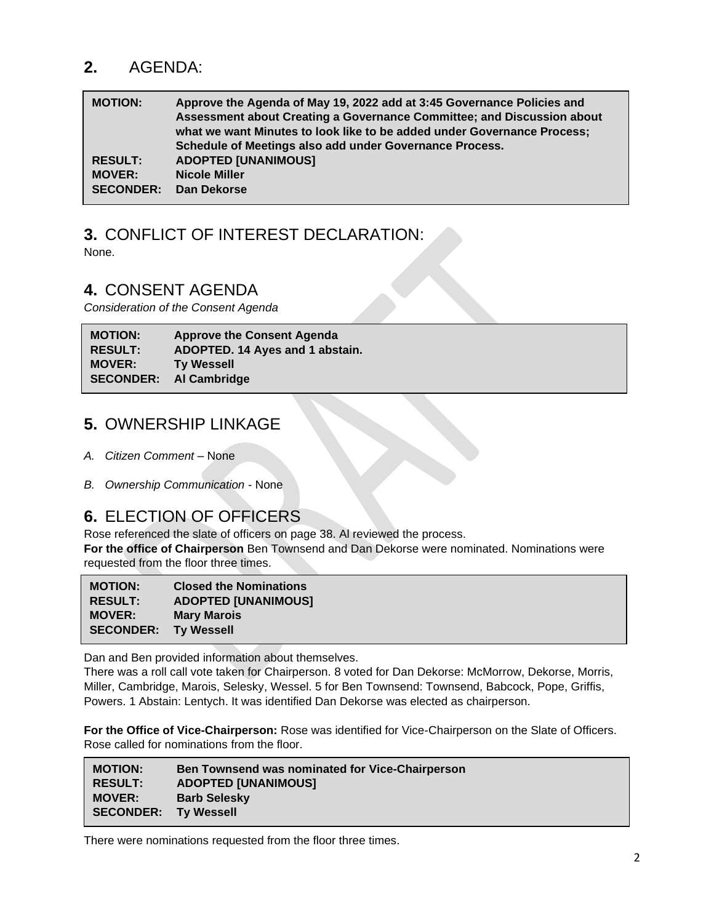# **2.** AGENDA:

| <b>MOTION:</b>   | Approve the Agenda of May 19, 2022 add at 3:45 Governance Policies and<br>Assessment about Creating a Governance Committee; and Discussion about<br>what we want Minutes to look like to be added under Governance Process; |
|------------------|-----------------------------------------------------------------------------------------------------------------------------------------------------------------------------------------------------------------------------|
|                  | Schedule of Meetings also add under Governance Process.                                                                                                                                                                     |
| <b>RESULT:</b>   | <b>ADOPTED [UNANIMOUS]</b>                                                                                                                                                                                                  |
| <b>MOVER:</b>    | <b>Nicole Miller</b>                                                                                                                                                                                                        |
| <b>SECONDER:</b> | Dan Dekorse                                                                                                                                                                                                                 |

### **3.** CONFLICT OF INTEREST DECLARATION: None.

### **4.** CONSENT AGENDA

*Consideration of the Consent Agenda*

**MOTION: Approve the Consent Agenda RESULT: ADOPTED. 14 Ayes and 1 abstain. MOVER: Ty Wessell SECONDER: Al Cambridge**

# **5.** OWNERSHIP LINKAGE

- *A. Citizen Comment* None
- *B. Ownership Communication* None

## **6.** ELECTION OF OFFICERS

Rose referenced the slate of officers on page 38. Al reviewed the process. **For the office of Chairperson** Ben Townsend and Dan Dekorse were nominated. Nominations were requested from the floor three times.

| <b>MOTION:</b>   | <b>Closed the Nominations</b> |
|------------------|-------------------------------|
| <b>RESULT:</b>   | <b>ADOPTED [UNANIMOUS]</b>    |
| <b>MOVER:</b>    | <b>Mary Marois</b>            |
| <b>SECONDER:</b> | <b>Ty Wessell</b>             |

Dan and Ben provided information about themselves.

There was a roll call vote taken for Chairperson. 8 voted for Dan Dekorse: McMorrow, Dekorse, Morris, Miller, Cambridge, Marois, Selesky, Wessel. 5 for Ben Townsend: Townsend, Babcock, Pope, Griffis, Powers. 1 Abstain: Lentych. It was identified Dan Dekorse was elected as chairperson.

**For the Office of Vice-Chairperson:** Rose was identified for Vice-Chairperson on the Slate of Officers. Rose called for nominations from the floor.

| <b>MOTION:</b>              | <b>Ben Townsend was nominated for Vice-Chairperson</b> |
|-----------------------------|--------------------------------------------------------|
| <b>RESULT:</b>              | <b>ADOPTED [UNANIMOUS]</b>                             |
| <b>MOVER:</b>               | <b>Barb Selesky</b>                                    |
| <b>SECONDER:</b> Ty Wessell |                                                        |

There were nominations requested from the floor three times.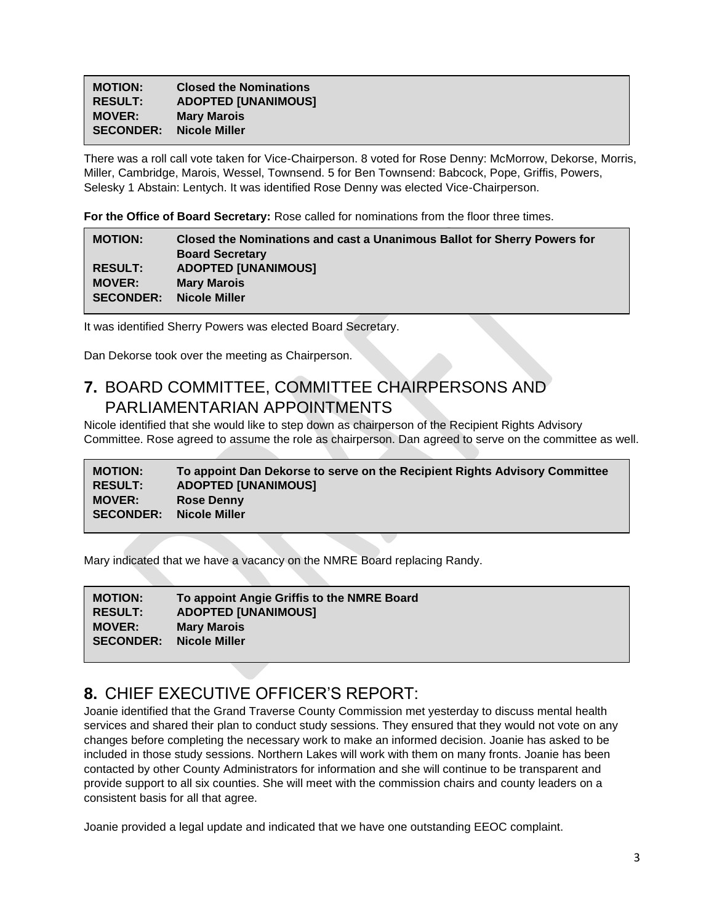| <b>MOTION:</b>   | <b>Closed the Nominations</b> |
|------------------|-------------------------------|
| <b>RESULT:</b>   | <b>ADOPTED [UNANIMOUS]</b>    |
| <b>MOVER:</b>    | <b>Mary Marois</b>            |
| <b>SECONDER:</b> | <b>Nicole Miller</b>          |
|                  |                               |

There was a roll call vote taken for Vice-Chairperson. 8 voted for Rose Denny: McMorrow, Dekorse, Morris, Miller, Cambridge, Marois, Wessel, Townsend. 5 for Ben Townsend: Babcock, Pope, Griffis, Powers, Selesky 1 Abstain: Lentych. It was identified Rose Denny was elected Vice-Chairperson.

**For the Office of Board Secretary:** Rose called for nominations from the floor three times.

| <b>MOTION:</b>   | <b>Closed the Nominations and cast a Unanimous Ballot for Sherry Powers for</b> |
|------------------|---------------------------------------------------------------------------------|
|                  | <b>Board Secretary</b>                                                          |
| <b>RESULT:</b>   | <b>ADOPTED [UNANIMOUS]</b>                                                      |
| <b>MOVER:</b>    | <b>Mary Marois</b>                                                              |
| <b>SECONDER:</b> | Nicole Miller                                                                   |
|                  |                                                                                 |

It was identified Sherry Powers was elected Board Secretary.

Dan Dekorse took over the meeting as Chairperson.

## **7.** BOARD COMMITTEE, COMMITTEE CHAIRPERSONS AND PARLIAMENTARIAN APPOINTMENTS

Nicole identified that she would like to step down as chairperson of the Recipient Rights Advisory Committee. Rose agreed to assume the role as chairperson. Dan agreed to serve on the committee as well.

**MOTION: To appoint Dan Dekorse to serve on the Recipient Rights Advisory Committee RESULT: ADOPTED [UNANIMOUS] MOVER: Rose Denny SECONDER: Nicole Miller**

Mary indicated that we have a vacancy on the NMRE Board replacing Randy.

| To appoint Angie Griffis to the NMRE Board |
|--------------------------------------------|
| <b>ADOPTED [UNANIMOUS]</b>                 |
| <b>Mary Marois</b>                         |
| Nicole Miller                              |
|                                            |

# **8.** CHIEF EXECUTIVE OFFICER'S REPORT:

Joanie identified that the Grand Traverse County Commission met yesterday to discuss mental health services and shared their plan to conduct study sessions. They ensured that they would not vote on any changes before completing the necessary work to make an informed decision. Joanie has asked to be included in those study sessions. Northern Lakes will work with them on many fronts. Joanie has been contacted by other County Administrators for information and she will continue to be transparent and provide support to all six counties. She will meet with the commission chairs and county leaders on a consistent basis for all that agree.

Joanie provided a legal update and indicated that we have one outstanding EEOC complaint.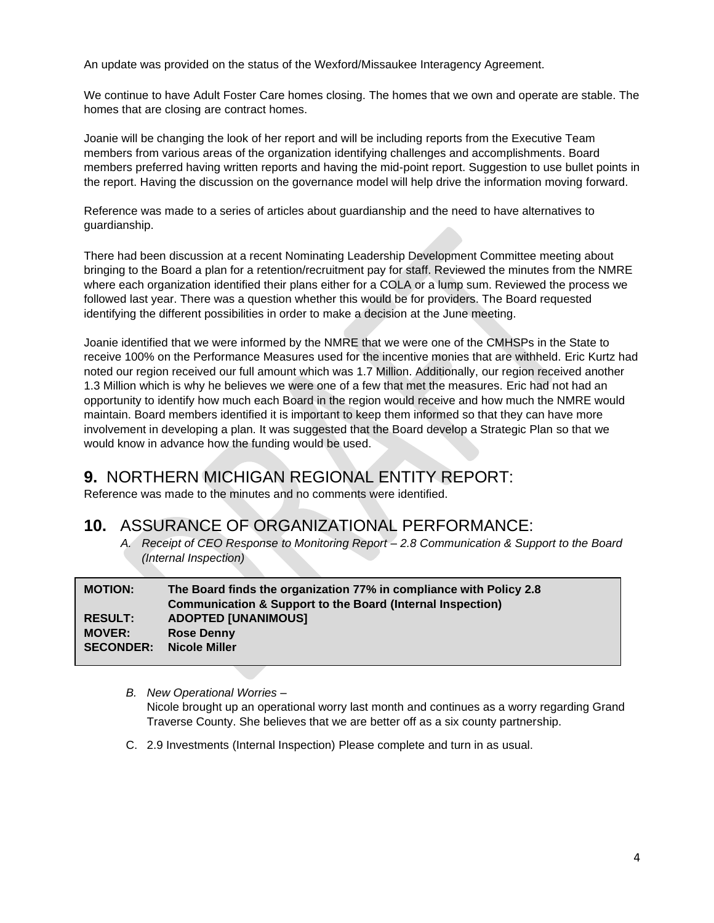An update was provided on the status of the Wexford/Missaukee Interagency Agreement.

We continue to have Adult Foster Care homes closing. The homes that we own and operate are stable. The homes that are closing are contract homes.

Joanie will be changing the look of her report and will be including reports from the Executive Team members from various areas of the organization identifying challenges and accomplishments. Board members preferred having written reports and having the mid-point report. Suggestion to use bullet points in the report. Having the discussion on the governance model will help drive the information moving forward.

Reference was made to a series of articles about guardianship and the need to have alternatives to guardianship.

There had been discussion at a recent Nominating Leadership Development Committee meeting about bringing to the Board a plan for a retention/recruitment pay for staff. Reviewed the minutes from the NMRE where each organization identified their plans either for a COLA or a lump sum. Reviewed the process we followed last year. There was a question whether this would be for providers. The Board requested identifying the different possibilities in order to make a decision at the June meeting.

Joanie identified that we were informed by the NMRE that we were one of the CMHSPs in the State to receive 100% on the Performance Measures used for the incentive monies that are withheld. Eric Kurtz had noted our region received our full amount which was 1.7 Million. Additionally, our region received another 1.3 Million which is why he believes we were one of a few that met the measures. Eric had not had an opportunity to identify how much each Board in the region would receive and how much the NMRE would maintain. Board members identified it is important to keep them informed so that they can have more involvement in developing a plan. It was suggested that the Board develop a Strategic Plan so that we would know in advance how the funding would be used.

# **9.** NORTHERN MICHIGAN REGIONAL ENTITY REPORT:

Reference was made to the minutes and no comments were identified.

## **10.** ASSURANCE OF ORGANIZATIONAL PERFORMANCE:

*A. Receipt of CEO Response to Monitoring Report – 2.8 Communication & Support to the Board (Internal Inspection)*

| <b>MOTION:</b>   | The Board finds the organization 77% in compliance with Policy 2.8<br><b>Communication &amp; Support to the Board (Internal Inspection)</b> |
|------------------|---------------------------------------------------------------------------------------------------------------------------------------------|
| <b>RESULT:</b>   | <b>ADOPTED [UNANIMOUS]</b>                                                                                                                  |
| <b>MOVER:</b>    | <b>Rose Denny</b>                                                                                                                           |
| <b>SECONDER:</b> | Nicole Miller                                                                                                                               |

- *B. New Operational Worries –* Nicole brought up an operational worry last month and continues as a worry regarding Grand Traverse County. She believes that we are better off as a six county partnership.
- C. 2.9 Investments (Internal Inspection) Please complete and turn in as usual.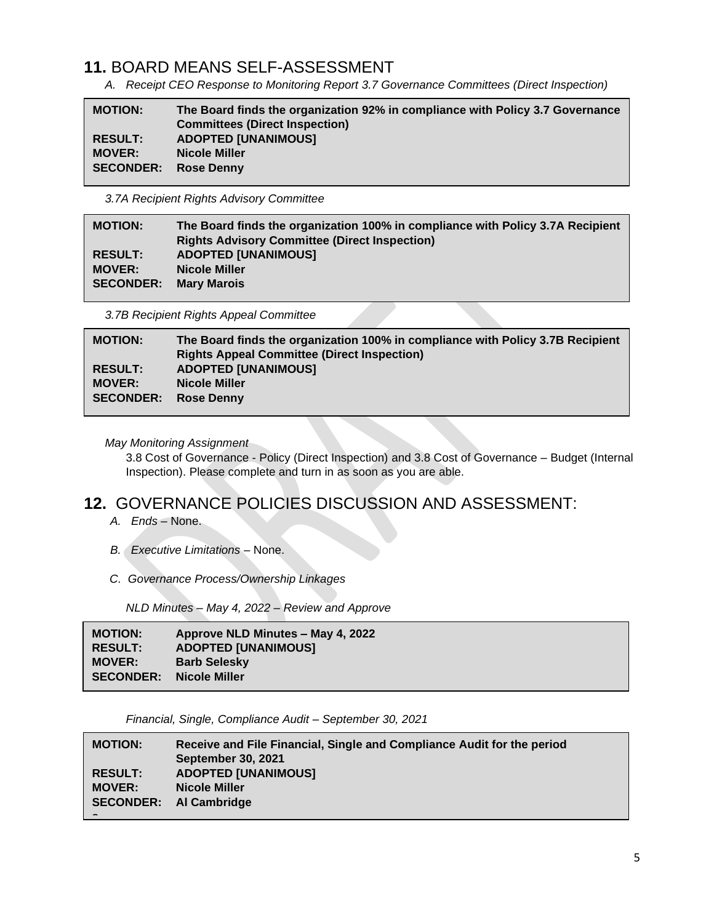# **11.** BOARD MEANS SELF-ASSESSMENT

*A. Receipt CEO Response to Monitoring Report 3.7 Governance Committees (Direct Inspection)*

| <b>MOTION:</b>   | The Board finds the organization 92% in compliance with Policy 3.7 Governance<br><b>Committees (Direct Inspection)</b> |
|------------------|------------------------------------------------------------------------------------------------------------------------|
| <b>RESULT:</b>   | <b>ADOPTED [UNANIMOUS]</b>                                                                                             |
| <b>MOVER:</b>    | <b>Nicole Miller</b>                                                                                                   |
| <b>SECONDER:</b> | <b>Rose Denny</b>                                                                                                      |

*3.7A Recipient Rights Advisory Committee*

| <b>MOTION:</b>   | The Board finds the organization 100% in compliance with Policy 3.7A Recipient |
|------------------|--------------------------------------------------------------------------------|
|                  | <b>Rights Advisory Committee (Direct Inspection)</b>                           |
| <b>RESULT:</b>   | <b>ADOPTED [UNANIMOUS]</b>                                                     |
| <b>MOVER:</b>    | <b>Nicole Miller</b>                                                           |
| <b>SECONDER:</b> | <b>Mary Marois</b>                                                             |
|                  |                                                                                |

*3.7B Recipient Rights Appeal Committee*

| The Board finds the organization 100% in compliance with Policy 3.7B Recipient<br><b>Rights Appeal Committee (Direct Inspection)</b> |
|--------------------------------------------------------------------------------------------------------------------------------------|
| <b>ADOPTED [UNANIMOUS]</b>                                                                                                           |
| Nicole Miller                                                                                                                        |
| <b>Rose Denny</b>                                                                                                                    |
|                                                                                                                                      |

#### *May Monitoring Assignment*

3.8 Cost of Governance - Policy (Direct Inspection) and 3.8 Cost of Governance – Budget (Internal Inspection). Please complete and turn in as soon as you are able.

### **12.** GOVERNANCE POLICIES DISCUSSION AND ASSESSMENT:

- *A. Ends –* None.
- *B. Executive Limitations –* None.
- *C. Governance Process/Ownership Linkages*

 *NLD Minutes – May 4, 2022 – Review and Approve*

| <b>MOTION:</b><br><b>RESULT:</b><br><b>MOVER:</b> | Approve NLD Minutes – May 4, 2022<br><b>ADOPTED [UNANIMOUS]</b><br><b>Barb Selesky</b> |
|---------------------------------------------------|----------------------------------------------------------------------------------------|
| <b>SECONDER:</b>                                  | Nicole Miller                                                                          |
|                                                   |                                                                                        |

*Financial, Single, Compliance Audit – September 30, 2021*

| <b>MOTION:</b>                  | Receive and File Financial, Single and Compliance Audit for the period<br><b>September 30, 2021</b> |
|---------------------------------|-----------------------------------------------------------------------------------------------------|
| <b>RESULT:</b><br><b>MOVER:</b> | <b>ADOPTED [UNANIMOUS]</b><br><b>Nicole Miller</b><br><b>SECONDER:</b> Al Cambridge                 |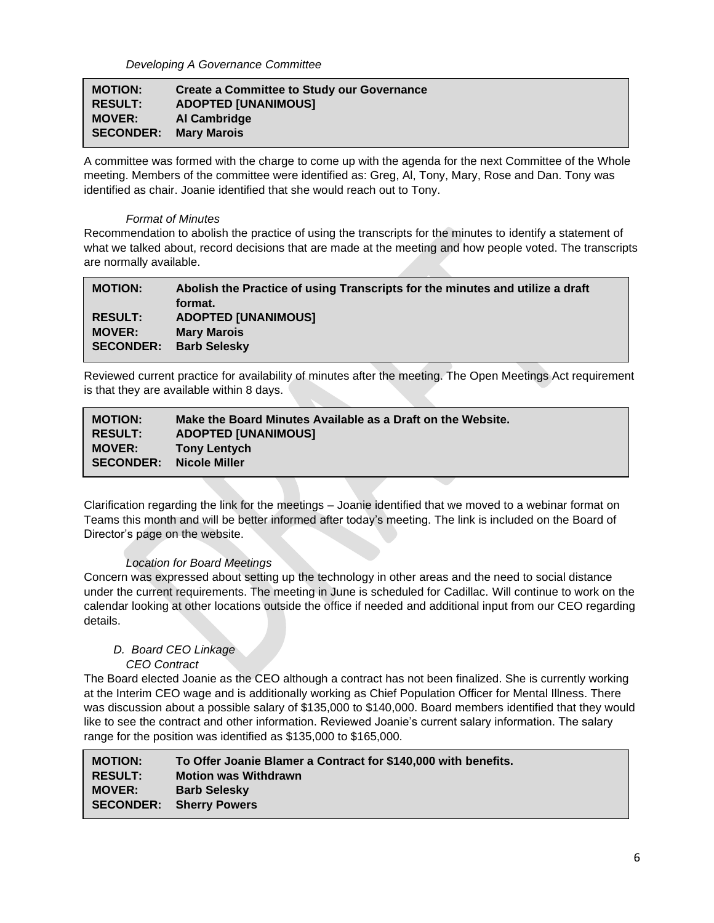| <b>MOTION:</b>               | <b>Create a Committee to Study our Governance</b> |
|------------------------------|---------------------------------------------------|
| <b>RESULT:</b>               | <b>ADOPTED [UNANIMOUS]</b>                        |
| <b>MOVER:</b>                | Al Cambridge                                      |
| <b>SECONDER: Mary Marois</b> |                                                   |

A committee was formed with the charge to come up with the agenda for the next Committee of the Whole meeting. Members of the committee were identified as: Greg, Al, Tony, Mary, Rose and Dan. Tony was identified as chair. Joanie identified that she would reach out to Tony.

#### *Format of Minutes*

**s**

Recommendation to abolish the practice of using the transcripts for the minutes to identify a statement of what we talked about, record decisions that are made at the meeting and how people voted. The transcripts are normally available.

| <b>MOTION:</b>                  | Abolish the Practice of using Transcripts for the minutes and utilize a draft<br>format. |
|---------------------------------|------------------------------------------------------------------------------------------|
| <b>RESULT:</b><br><b>MOVER:</b> | <b>ADOPTED [UNANIMOUS]</b><br><b>Mary Marois</b><br><b>SECONDER: Barb Selesky</b>        |
|                                 |                                                                                          |

Reviewed current practice for availability of minutes after the meeting. The Open Meetings Act requirement is that they are available within 8 days.

| <b>MOTION:</b><br><b>RESULT:</b><br><b>MOVER:</b> | Make the Board Minutes Available as a Draft on the Website.<br><b>ADOPTED [UNANIMOUS]</b><br><b>Tony Lentych</b> |
|---------------------------------------------------|------------------------------------------------------------------------------------------------------------------|
| <b>SECONDER:</b>                                  | Nicole Miller                                                                                                    |
|                                                   |                                                                                                                  |

Clarification regarding the link for the meetings – Joanie identified that we moved to a webinar format on Teams this month and will be better informed after today's meeting. The link is included on the Board of Director's page on the website.

#### *Location for Board Meetings*

Concern was expressed about setting up the technology in other areas and the need to social distance under the current requirements. The meeting in June is scheduled for Cadillac. Will continue to work on the calendar looking at other locations outside the office if needed and additional input from our CEO regarding details.

#### *D. Board CEO Linkage*

#### *CEO Contract*

The Board elected Joanie as the CEO although a contract has not been finalized. She is currently working at the Interim CEO wage and is additionally working as Chief Population Officer for Mental Illness. There was discussion about a possible salary of \$135,000 to \$140,000. Board members identified that they would like to see the contract and other information. Reviewed Joanie's current salary information. The salary range for the position was identified as \$135,000 to \$165,000.

| <b>MOTION:</b>   | To Offer Joanie Blamer a Contract for \$140,000 with benefits. |
|------------------|----------------------------------------------------------------|
| <b>RESULT:</b>   | <b>Motion was Withdrawn</b>                                    |
| <b>MOVER:</b>    | <b>Barb Selesky</b>                                            |
| <b>SECONDER:</b> | <b>Sherry Powers</b>                                           |
|                  |                                                                |